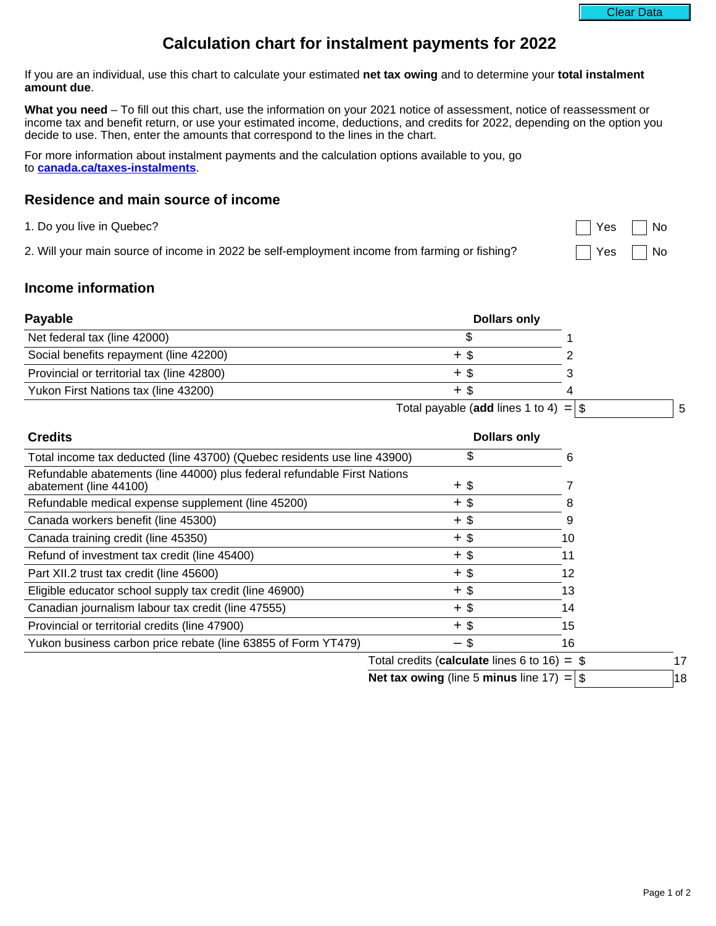Page 1 of 2

If you are an individual, use this chart to calculate your estimated **net tax owing** and to determine your **total instalment amount due**.

**What you need** – To fill out this chart, use the information on your 2021 notice of assessment, notice of reassessment or income tax and benefit return, or use your estimated income, deductions, and credits for 2022, depending on the option you decide to use. Then, enter the amounts that correspond to the lines in the chart.

For more information about instalment payments and the calculation options available to you, go to **[canada.ca/taxes-instalments](https://www.canada.ca/en/revenue-agency/services/tax/individuals/topics/about-your-tax-return/making-payments-individuals/paying-your-income-tax-instalments.html)**.

## **Residence and main source of income**

1. Do you live in Quebec? No was a set of the set of the set of the set of the set of the set of the set of the set of the set of the set of the set of the set of the set of the set of the set of the set of the set of the

2. Will your main source of income in 2022 be self-employment income from farming or fishing?  $\Box$  Yes  $\Box$  No

# **Income information**

| <b>Payable</b>                             | <b>Dollars only</b> |  |
|--------------------------------------------|---------------------|--|
| Net federal tax (line 42000)               |                     |  |
| Social benefits repayment (line 42200)     |                     |  |
| Provincial or territorial tax (line 42800) |                     |  |
| Yukon First Nations tax (line 43200)       | + Տ                 |  |
|                                            |                     |  |

Total payable (**add** lines 1 to 4)  $=$   $\vert$  \$  $\vert$  5

| <b>Credits</b>                                                                                     |                                                | <b>Dollars only</b> |  |
|----------------------------------------------------------------------------------------------------|------------------------------------------------|---------------------|--|
| Total income tax deducted (line 43700) (Quebec residents use line 43900)                           | S                                              | n                   |  |
| Refundable abatements (line 44000) plus federal refundable First Nations<br>abatement (line 44100) | $+$ \$                                         |                     |  |
| Refundable medical expense supplement (line 45200)                                                 | $+$ \$                                         |                     |  |
| Canada workers benefit (line 45300)                                                                | $+$ \$                                         | 9                   |  |
| Canada training credit (line 45350)                                                                | $+$ \$                                         | 10                  |  |
| Refund of investment tax credit (line 45400)                                                       | $+$ \$                                         | 11                  |  |
| Part XII.2 trust tax credit (line 45600)                                                           | $+$ \$                                         | 12                  |  |
| Eligible educator school supply tax credit (line 46900)                                            | +\$                                            | 13                  |  |
| Canadian journalism labour tax credit (line 47555)                                                 | $+$ \$                                         | 14                  |  |
| Provincial or territorial credits (line 47900)                                                     | $+$ \$                                         | 15                  |  |
| Yukon business carbon price rebate (line 63855 of Form YT479)                                      | $-$ \$                                         | 16                  |  |
|                                                                                                    | Total credits (calculate lines 6 to 16) $=$ \$ |                     |  |

**Net tax owing** (line 5 **minus** line 17)  $=$  \$ 18